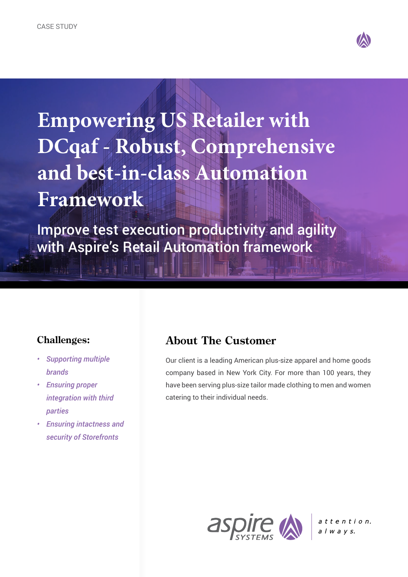

**Empowering US Retailer with DCqaf - Robust, Comprehensive and best-in-class Automation Framework**

Improve test execution productivity and agility with Aspire's Retail Automation framework

#### **Challenges:**

*• Supporting multiple brands*

**East of Aut** 

- *• Ensuring proper integration with third parties*
- *• Ensuring intactness and security of Storefronts*

## **About The Customer**

Our client is a leading American plus-size apparel and home goods company based in New York City. For more than 100 years, they have been serving plus-size tailor made clothing to men and women catering to their individual needs.



attention.  $a \mid w \mid a \mid v \mid s.$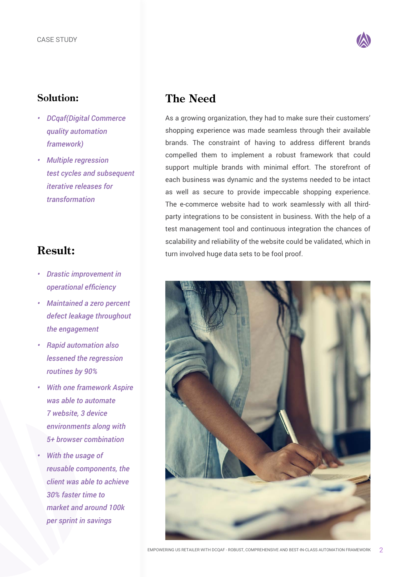

#### **Solution:**

- *DCqaf(Digital Commerce quality automation framework)*
- *Multiple regression test cycles and subsequent iterative releases for transformation*

# **Result:**

- *• Drastic improvement in operational efficiency*
- *• Maintained a zero percent defect leakage throughout the engagement*
- *• Rapid automation also lessened the regression routines by 90%*
- *• With one framework Aspire was able to automate 7 website, 3 device environments along with 5+ browser combination*
- *• With the usage of reusable components, the client was able to achieve 30% faster time to market and around 100k per sprint in savings*

# **The Need**

As a growing organization, they had to make sure their customers' shopping experience was made seamless through their available brands. The constraint of having to address different brands compelled them to implement a robust framework that could support multiple brands with minimal effort. The storefront of each business was dynamic and the systems needed to be intact as well as secure to provide impeccable shopping experience. The e-commerce website had to work seamlessly with all thirdparty integrations to be consistent in business. With the help of a test management tool and continuous integration the chances of scalability and reliability of the website could be validated, which in turn involved huge data sets to be fool proof.

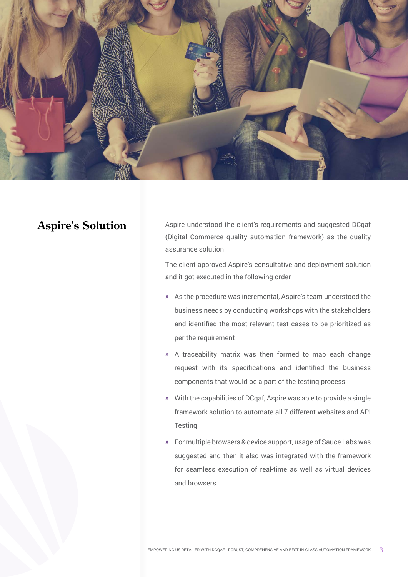

## **Aspire's Solution**

Aspire understood the client's requirements and suggested DCqaf (Digital Commerce quality automation framework) as the quality assurance solution

The client approved Aspire's consultative and deployment solution and it got executed in the following order:

- » As the procedure was incremental, Aspire's team understood the business needs by conducting workshops with the stakeholders and identified the most relevant test cases to be prioritized as per the requirement
- » A traceability matrix was then formed to map each change request with its specifications and identified the business components that would be a part of the testing process
- » With the capabilities of DCqaf, Aspire was able to provide a single framework solution to automate all 7 different websites and API **Testing**
- » For multiple browsers & device support, usage of Sauce Labs was suggested and then it also was integrated with the framework for seamless execution of real-time as well as virtual devices and browsers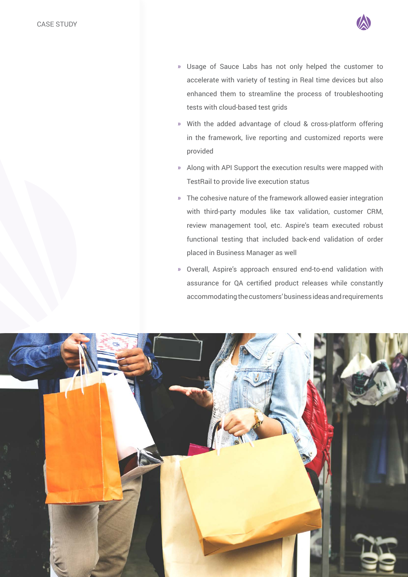

- » Usage of Sauce Labs has not only helped the customer to accelerate with variety of testing in Real time devices but also enhanced them to streamline the process of troubleshooting tests with cloud-based test grids
- » With the added advantage of cloud & cross-platform offering in the framework, live reporting and customized reports were provided
- » Along with API Support the execution results were mapped with TestRail to provide live execution status
- » The cohesive nature of the framework allowed easier integration with third-party modules like tax validation, customer CRM, review management tool, etc. Aspire's team executed robust functional testing that included back-end validation of order placed in Business Manager as well
- » Overall, Aspire's approach ensured end-to-end validation with assurance for QA certified product releases while constantly accommodating the customers' business ideas and requirements